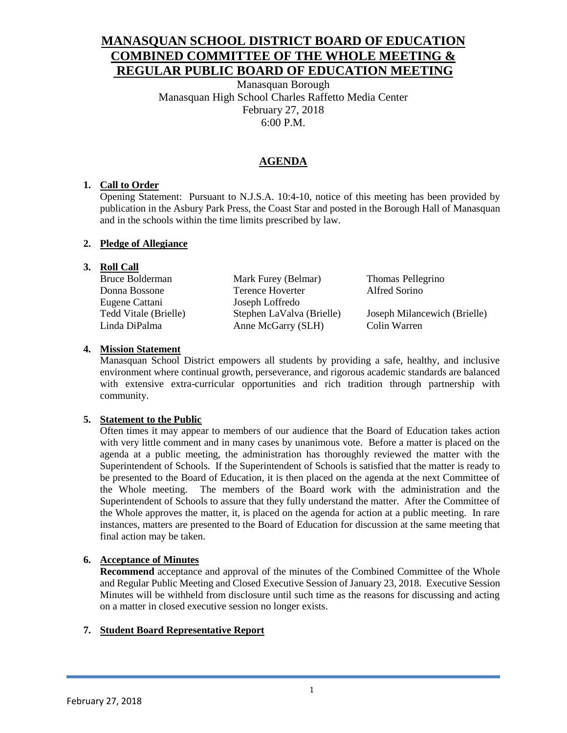# **MANASQUAN SCHOOL DISTRICT BOARD OF EDUCATION COMBINED COMMITTEE OF THE WHOLE MEETING & REGULAR PUBLIC BOARD OF EDUCATION MEETING**

Manasquan Borough Manasquan High School Charles Raffetto Media Center February 27, 2018 6:00 P.M.

# **AGENDA**

# **1. Call to Order**

Opening Statement: Pursuant to N.J.S.A. 10:4-10, notice of this meeting has been provided by publication in the Asbury Park Press, the Coast Star and posted in the Borough Hall of Manasquan and in the schools within the time limits prescribed by law.

# **2. Pledge of Allegiance**

# **3. Roll Call**

| Mark Furey (Belmar)       | Thomas Pellegrino            |
|---------------------------|------------------------------|
| Terence Hoverter          | Alfred Sorino                |
| Joseph Loffredo           |                              |
| Stephen LaValva (Brielle) | Joseph Milancewich (Brielle) |
| Anne McGarry (SLH)        | Colin Warren                 |
|                           |                              |

# **4. Mission Statement**

Manasquan School District empowers all students by providing a safe, healthy, and inclusive environment where continual growth, perseverance, and rigorous academic standards are balanced with extensive extra-curricular opportunities and rich tradition through partnership with community.

# **5. Statement to the Public**

Often times it may appear to members of our audience that the Board of Education takes action with very little comment and in many cases by unanimous vote. Before a matter is placed on the agenda at a public meeting, the administration has thoroughly reviewed the matter with the Superintendent of Schools. If the Superintendent of Schools is satisfied that the matter is ready to be presented to the Board of Education, it is then placed on the agenda at the next Committee of the Whole meeting. The members of the Board work with the administration and the Superintendent of Schools to assure that they fully understand the matter. After the Committee of the Whole approves the matter, it, is placed on the agenda for action at a public meeting. In rare instances, matters are presented to the Board of Education for discussion at the same meeting that final action may be taken.

# **6. Acceptance of Minutes**

**Recommend** acceptance and approval of the minutes of the Combined Committee of the Whole and Regular Public Meeting and Closed Executive Session of January 23, 2018. Executive Session Minutes will be withheld from disclosure until such time as the reasons for discussing and acting on a matter in closed executive session no longer exists.

# **7. Student Board Representative Report**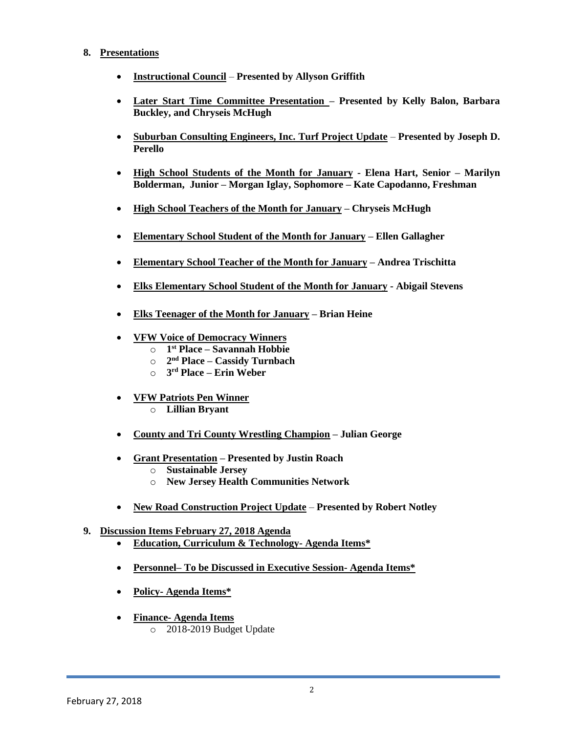#### **8. Presentations**

- **Instructional Council Presented by Allyson Griffith**
- **Later Start Time Committee Presentation – Presented by Kelly Balon, Barbara Buckley, and Chryseis McHugh**
- **Suburban Consulting Engineers, Inc. Turf Project Update Presented by Joseph D. Perello**
- **High School Students of the Month for January - Elena Hart, Senior – Marilyn Bolderman, Junior – Morgan Iglay, Sophomore – Kate Capodanno, Freshman**
- **High School Teachers of the Month for January – Chryseis McHugh**
- **Elementary School Student of the Month for January – Ellen Gallagher**
- **Elementary School Teacher of the Month for January – Andrea Trischitta**
- **Elks Elementary School Student of the Month for January - Abigail Stevens**
- **Elks Teenager of the Month for January – Brian Heine**
- **VFW Voice of Democracy Winners**
	- o **1 st Place – Savannah Hobbie**
	- o **2 nd Place – Cassidy Turnbach**
	- o **3 rd Place – Erin Weber**
- **VFW Patriots Pen Winner**
	- o **Lillian Bryant**
- **County and Tri County Wrestling Champion – Julian George**
- **Grant Presentation – Presented by Justin Roach**
	- o **Sustainable Jersey**
	- o **New Jersey Health Communities Network**
- **New Road Construction Project Update Presented by Robert Notley**

#### **9. Discussion Items February 27, 2018 Agenda**

- **Education, Curriculum & Technology- Agenda Items\***
- **Personnel– To be Discussed in Executive Session- Agenda Items\***
- **Policy- Agenda Items\***
- **Finance- Agenda Items** o 2018-2019 Budget Update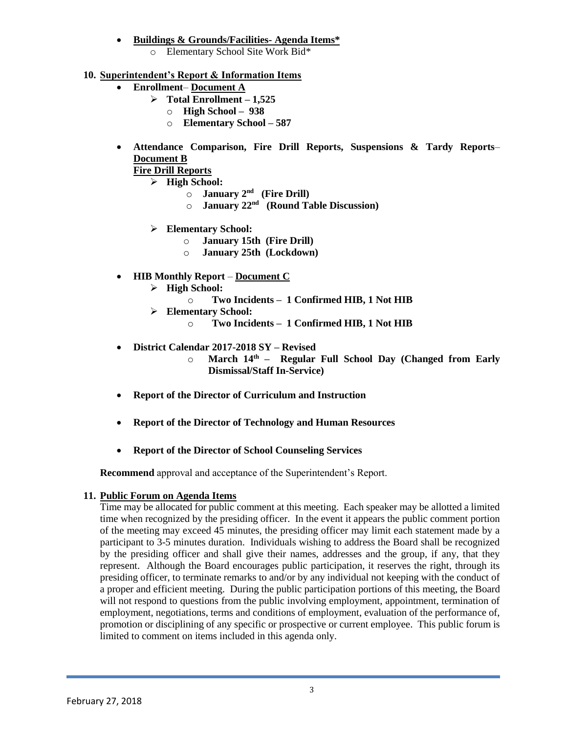- **Buildings & Grounds/Facilities- Agenda Items\***
	- o Elementary School Site Work Bid\*

# **10. Superintendent's Report & Information Items**

- **Enrollment Document A**
	- **Total Enrollment – 1,525**
		- o **High School 938**
		- o **Elementary School – 587**
- **Attendance Comparison, Fire Drill Reports, Suspensions & Tardy Reports Document B**

**Fire Drill Reports**

- **High School:**
	- o **January 2nd (Fire Drill)**
	- o **January 22nd (Round Table Discussion)**
- **Elementary School:**
	- o **January 15th (Fire Drill)**
	- o **January 25th (Lockdown)**
- **HIB Monthly Report Document C**
	- **High School:**
		- o **Two Incidents 1 Confirmed HIB, 1 Not HIB**
	- **Elementary School:**
		- o **Two Incidents 1 Confirmed HIB, 1 Not HIB**
- **District Calendar 2017-2018 SY – Revised** 
	- o **March 14th Regular Full School Day (Changed from Early Dismissal/Staff In-Service)**
- **Report of the Director of Curriculum and Instruction**
- **Report of the Director of Technology and Human Resources**
- **Report of the Director of School Counseling Services**

**Recommend** approval and acceptance of the Superintendent's Report.

#### **11. Public Forum on Agenda Items**

Time may be allocated for public comment at this meeting. Each speaker may be allotted a limited time when recognized by the presiding officer. In the event it appears the public comment portion of the meeting may exceed 45 minutes, the presiding officer may limit each statement made by a participant to 3-5 minutes duration. Individuals wishing to address the Board shall be recognized by the presiding officer and shall give their names, addresses and the group, if any, that they represent. Although the Board encourages public participation, it reserves the right, through its presiding officer, to terminate remarks to and/or by any individual not keeping with the conduct of a proper and efficient meeting. During the public participation portions of this meeting, the Board will not respond to questions from the public involving employment, appointment, termination of employment, negotiations, terms and conditions of employment, evaluation of the performance of, promotion or disciplining of any specific or prospective or current employee. This public forum is limited to comment on items included in this agenda only.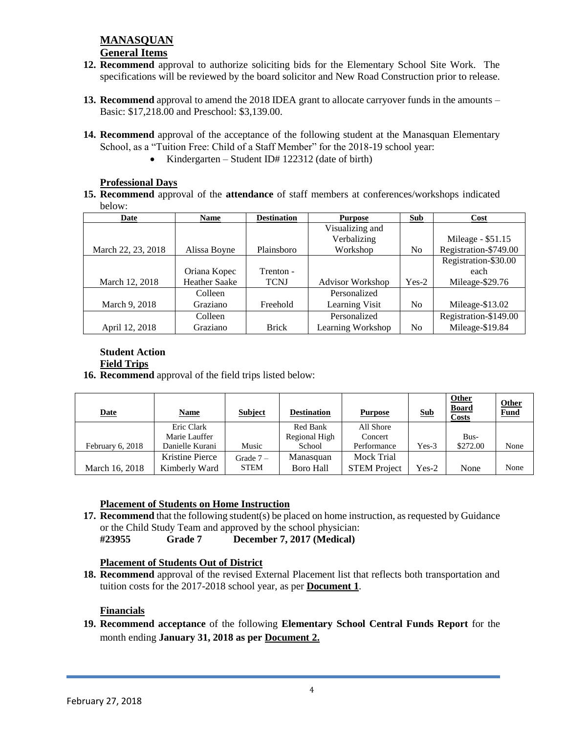# **MANASQUAN General Items**

- **12. Recommend** approval to authorize soliciting bids for the Elementary School Site Work. The specifications will be reviewed by the board solicitor and New Road Construction prior to release.
- **13. Recommend** approval to amend the 2018 IDEA grant to allocate carryover funds in the amounts Basic: \$17,218.00 and Preschool: \$3,139.00.
- **14. Recommend** approval of the acceptance of the following student at the Manasquan Elementary School, as a "Tuition Free: Child of a Staff Member" for the 2018-19 school year:
	- Kindergarten Student ID# 122312 (date of birth)

#### **Professional Days**

**15. Recommend** approval of the **attendance** of staff members at conferences/workshops indicated below:

| Date               | Name                 | <b>Destination</b> | <b>Purpose</b>    | Sub            | Cost                  |
|--------------------|----------------------|--------------------|-------------------|----------------|-----------------------|
|                    |                      |                    | Visualizing and   |                |                       |
|                    |                      |                    | Verbalizing       |                | Mileage - \$51.15     |
| March 22, 23, 2018 | Alissa Boyne         | Plainsboro         | Workshop          | N <sub>0</sub> | Registration-\$749.00 |
|                    |                      |                    |                   |                | Registration-\$30.00  |
|                    | Oriana Kopec         | Trenton -          |                   |                | each                  |
| March 12, 2018     | <b>Heather Saake</b> | <b>TCNJ</b>        | Advisor Workshop  | $Yes-2$        | Mileage-\$29.76       |
|                    | Colleen              |                    | Personalized      |                |                       |
| March 9, 2018      | Graziano             | Freehold           | Learning Visit    | No.            | Mileage-\$13.02       |
|                    | Colleen              |                    | Personalized      |                | Registration-\$149.00 |
| April 12, 2018     | Graziano             | <b>Brick</b>       | Learning Workshop | No.            | Mileage-\$19.84       |

#### **Student Action Field Trips**

**16. Recommend** approval of the field trips listed below:

| <b>Date</b>      | <b>Name</b>     | <b>Subject</b> | <b>Destination</b> | <b>Purpose</b>      | <b>Sub</b> | Other<br><b>Board</b><br>Costs | Other<br><b>Fund</b> |
|------------------|-----------------|----------------|--------------------|---------------------|------------|--------------------------------|----------------------|
|                  | Eric Clark      |                | Red Bank           | All Shore           |            |                                |                      |
|                  | Marie Lauffer   |                | Regional High      | Concert             |            | Bus-                           |                      |
| February 6, 2018 | Danielle Kurani | Music          | School             | Performance         | $Yes-3$    | \$272.00                       | None                 |
|                  | Kristine Pierce | Grade $7-$     | Manasquan          | Mock Trial          |            |                                |                      |
| March 16, 2018   | Kimberly Ward   | <b>STEM</b>    | Boro Hall          | <b>STEM Project</b> | $Yes-2$    | None                           | None                 |

# **Placement of Students on Home Instruction**

**17. Recommend** that the following student(s) be placed on home instruction, as requested by Guidance or the Child Study Team and approved by the school physician:

**#23955 Grade 7 December 7, 2017 (Medical)**

#### **Placement of Students Out of District**

**18. Recommend** approval of the revised External Placement list that reflects both transportation and tuition costs for the 2017-2018 school year, as per **Document 1**.

#### **Financials**

**19. Recommend acceptance** of the following **Elementary School Central Funds Report** for the month ending **January 31, 2018 as per Document 2.**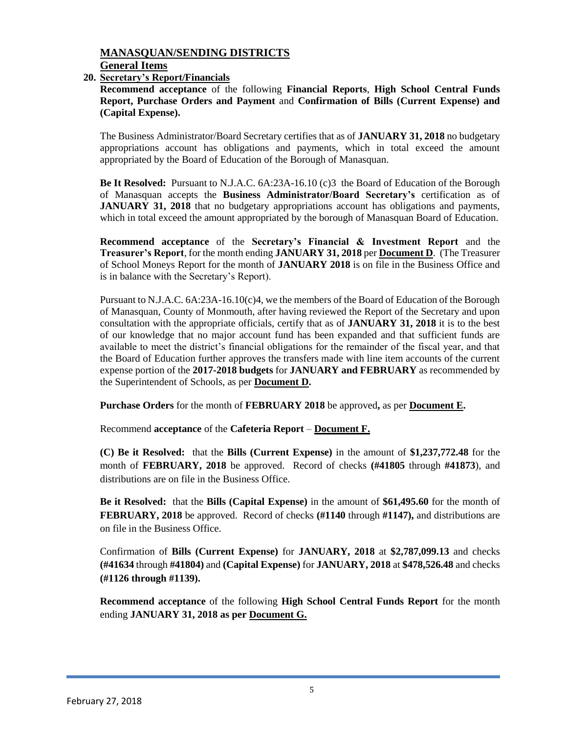# **MANASQUAN/SENDING DISTRICTS General Items**

# **20. Secretary's Report/Financials**

**Recommend acceptance** of the following **Financial Reports**, **High School Central Funds Report, Purchase Orders and Payment** and **Confirmation of Bills (Current Expense) and (Capital Expense).**

The Business Administrator/Board Secretary certifies that as of **JANUARY 31, 2018** no budgetary appropriations account has obligations and payments, which in total exceed the amount appropriated by the Board of Education of the Borough of Manasquan.

**Be It Resolved:** Pursuant to N.J.A.C. 6A:23A-16.10 (c)3 the Board of Education of the Borough of Manasquan accepts the **Business Administrator/Board Secretary's** certification as of **JANUARY 31, 2018** that no budgetary appropriations account has obligations and payments, which in total exceed the amount appropriated by the borough of Manasquan Board of Education.

**Recommend acceptance** of the **Secretary's Financial & Investment Report** and the **Treasurer's Report**, for the month ending **JANUARY 31, 2018** per **Document D**. (The Treasurer of School Moneys Report for the month of **JANUARY 2018** is on file in the Business Office and is in balance with the Secretary's Report).

Pursuant to N.J.A.C. 6A:23A-16.10(c)4, we the members of the Board of Education of the Borough of Manasquan, County of Monmouth, after having reviewed the Report of the Secretary and upon consultation with the appropriate officials, certify that as of **JANUARY 31, 2018** it is to the best of our knowledge that no major account fund has been expanded and that sufficient funds are available to meet the district's financial obligations for the remainder of the fiscal year, and that the Board of Education further approves the transfers made with line item accounts of the current expense portion of the **2017-2018 budgets** for **JANUARY and FEBRUARY** as recommended by the Superintendent of Schools, as per **Document D.**

**Purchase Orders** for the month of **FEBRUARY 2018** be approved**,** as per **Document E.**

Recommend **acceptance** of the **Cafeteria Report** – **Document F.**

**(C) Be it Resolved:** that the **Bills (Current Expense)** in the amount of **\$1,237,772.48** for the month of **FEBRUARY, 2018** be approved. Record of checks **(#41805** through **#41873**), and distributions are on file in the Business Office.

**Be it Resolved:** that the **Bills (Capital Expense)** in the amount of **\$61,495.60** for the month of **FEBRUARY, 2018** be approved. Record of checks **(#1140** through **#1147),** and distributions are on file in the Business Office.

Confirmation of **Bills (Current Expense)** for **JANUARY, 2018** at **\$2,787,099.13** and checks **(#41634** through **#41804)** and **(Capital Expense)** for **JANUARY, 2018** at **\$478,526.48** and checks **(#1126 through #1139).**

**Recommend acceptance** of the following **High School Central Funds Report** for the month ending **JANUARY 31, 2018 as per Document G.**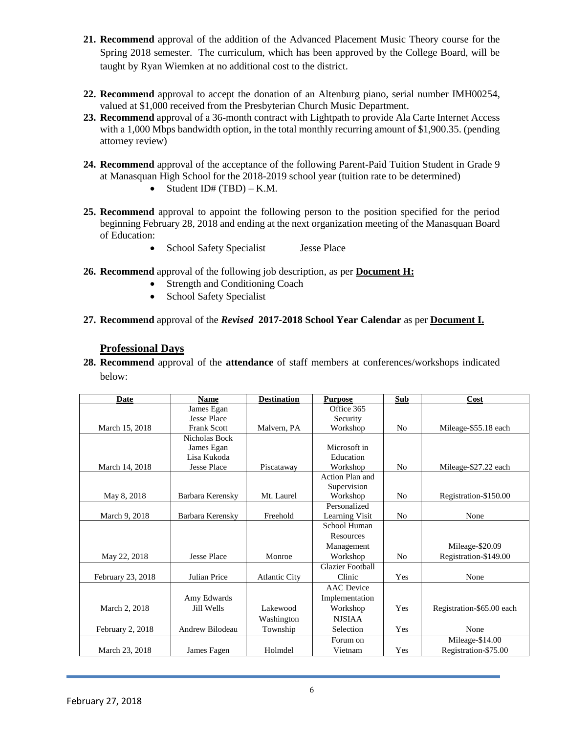- **21. Recommend** approval of the addition of the Advanced Placement Music Theory course for the Spring 2018 semester. The curriculum, which has been approved by the College Board, will be taught by Ryan Wiemken at no additional cost to the district.
- **22. Recommend** approval to accept the donation of an Altenburg piano, serial number IMH00254, valued at \$1,000 received from the Presbyterian Church Music Department.
- **23. Recommend** approval of a 36-month contract with Lightpath to provide Ala Carte Internet Access with a 1,000 Mbps bandwidth option, in the total monthly recurring amount of \$1,900.35. (pending attorney review)
- **24. Recommend** approval of the acceptance of the following Parent-Paid Tuition Student in Grade 9 at Manasquan High School for the 2018-2019 school year (tuition rate to be determined)
	- Student ID#  $(TBD) K.M$ .
- **25. Recommend** approval to appoint the following person to the position specified for the period beginning February 28, 2018 and ending at the next organization meeting of the Manasquan Board of Education:
	- School Safety Specialist Jesse Place
- **26. Recommend** approval of the following job description, as per **Document H:**
	- Strength and Conditioning Coach
	- School Safety Specialist
- **27. Recommend** approval of the *Revised* **2017-2018 School Year Calendar** as per **Document I.**

# **Professional Days**

**28. Recommend** approval of the **attendance** of staff members at conferences/workshops indicated below:

| <b>Date</b>       | <b>Name</b>        | <b>Destination</b>   | <b>Purpose</b>    | Sub            | Cost                      |
|-------------------|--------------------|----------------------|-------------------|----------------|---------------------------|
|                   | James Egan         |                      | Office 365        |                |                           |
|                   | <b>Jesse Place</b> |                      | Security          |                |                           |
| March 15, 2018    | <b>Frank Scott</b> | Malvern, PA          | Workshop          | N <sub>0</sub> | Mileage-\$55.18 each      |
|                   | Nicholas Bock      |                      |                   |                |                           |
|                   | James Egan         |                      | Microsoft in      |                |                           |
|                   | Lisa Kukoda        |                      | Education         |                |                           |
| March 14, 2018    | <b>Jesse Place</b> | Piscataway           | Workshop          | N <sub>0</sub> | Mileage-\$27.22 each      |
|                   |                    |                      | Action Plan and   |                |                           |
|                   |                    |                      | Supervision       |                |                           |
| May 8, 2018       | Barbara Kerensky   | Mt. Laurel           | Workshop          | N <sub>0</sub> | Registration-\$150.00     |
|                   |                    |                      | Personalized      |                |                           |
| March 9, 2018     | Barbara Kerensky   | Freehold             | Learning Visit    | N <sub>0</sub> | None                      |
|                   |                    |                      | School Human      |                |                           |
|                   |                    |                      | Resources         |                |                           |
|                   |                    |                      | Management        |                | Mileage-\$20.09           |
| May 22, 2018      | <b>Jesse Place</b> | Monroe               | Workshop          | N <sub>0</sub> | Registration-\$149.00     |
|                   |                    |                      | Glazier Football  |                |                           |
| February 23, 2018 | Julian Price       | <b>Atlantic City</b> | Clinic            | Yes            | None                      |
|                   |                    |                      | <b>AAC</b> Device |                |                           |
|                   | Amy Edwards        |                      | Implementation    |                |                           |
| March 2, 2018     | Jill Wells         | Lakewood             | Workshop          | Yes            | Registration-\$65.00 each |
|                   |                    | Washington           | <b>NJSIAA</b>     |                |                           |
| February 2, 2018  | Andrew Bilodeau    | Township             | Selection         | Yes            | None                      |
|                   |                    |                      | Forum on          |                | Mileage-\$14.00           |
| March 23, 2018    | James Fagen        | Holmdel              | Vietnam           | Yes            | Registration-\$75.00      |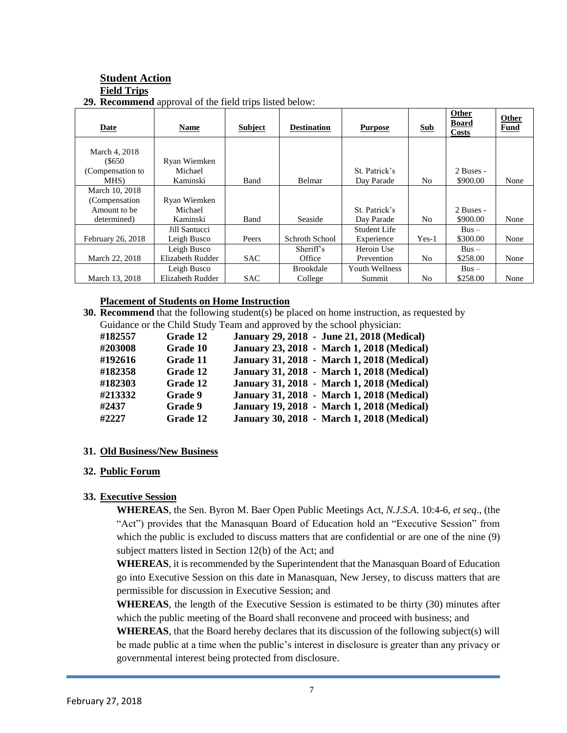# **Student Action**

# **Field Trips**

**29. Recommend** approval of the field trips listed below:

| Date              | <b>Name</b>      | <b>Subject</b> | <b>Destination</b> | <b>Purpose</b> | <b>Sub</b>     | Other<br><b>Board</b><br>Costs | Other<br><b>Fund</b> |
|-------------------|------------------|----------------|--------------------|----------------|----------------|--------------------------------|----------------------|
| March 4, 2018     |                  |                |                    |                |                |                                |                      |
| (S650)            | Ryan Wiemken     |                |                    |                |                |                                |                      |
| (Compensation to  | Michael          |                |                    | St. Patrick's  |                | 2 Buses -                      |                      |
| MHS)              | Kaminski         | Band           | <b>Belmar</b>      | Day Parade     | No             | \$900.00                       | None                 |
| March 10, 2018    |                  |                |                    |                |                |                                |                      |
| (Compensation)    | Ryan Wiemken     |                |                    |                |                |                                |                      |
| Amount to be      | Michael          |                |                    | St. Patrick's  |                | 2 Buses -                      |                      |
| determined)       | Kaminski         | Band           | Seaside            | Day Parade     | N <sub>0</sub> | \$900.00                       | None                 |
|                   | Jill Santucci    |                |                    | Student Life   |                | $Bus -$                        |                      |
| February 26, 2018 | Leigh Busco      | Peers          | Schroth School     | Experience     | $Yes-1$        | \$300.00                       | None                 |
|                   | Leigh Busco      |                | Sheriff's          | Heroin Use     |                | $Bus -$                        |                      |
| March 22, 2018    | Elizabeth Rudder | <b>SAC</b>     | Office             | Prevention     | N <sub>o</sub> | \$258.00                       | None                 |
|                   | Leigh Busco      |                | <b>Brookdale</b>   | Youth Wellness |                | $Bus -$                        |                      |
| March 13, 2018    | Elizabeth Rudder | <b>SAC</b>     | College            | Summit         | No             | \$258.00                       | None                 |

### **Placement of Students on Home Instruction**

**30. Recommend** that the following student(s) be placed on home instruction, as requested by Guidance or the Child Study Team and approved by the school physician:

| #182557 | Grade 12 | January 29, 2018 - June 21, 2018 (Medical)        |
|---------|----------|---------------------------------------------------|
| #203008 | Grade 10 | <b>January 23, 2018 - March 1, 2018 (Medical)</b> |
| #192616 | Grade 11 | January 31, 2018 - March 1, 2018 (Medical)        |
| #182358 | Grade 12 | January 31, 2018 - March 1, 2018 (Medical)        |
| #182303 | Grade 12 | January 31, 2018 - March 1, 2018 (Medical)        |
| #213332 | Grade 9  | <b>January 31, 2018 - March 1, 2018 (Medical)</b> |
| #2437   | Grade 9  | <b>January 19, 2018 - March 1, 2018 (Medical)</b> |
| #2227   | Grade 12 | <b>January 30, 2018 - March 1, 2018 (Medical)</b> |

# **31. Old Business/New Business**

# **32. Public Forum**

# **33. Executive Session**

**WHEREAS**, the Sen. Byron M. Baer Open Public Meetings Act, *N.J.S.A*. 10:4-6, *et seq*., (the "Act") provides that the Manasquan Board of Education hold an "Executive Session" from which the public is excluded to discuss matters that are confidential or are one of the nine (9) subject matters listed in Section 12(b) of the Act; and

**WHEREAS**, it is recommended by the Superintendent that the Manasquan Board of Education go into Executive Session on this date in Manasquan, New Jersey, to discuss matters that are permissible for discussion in Executive Session; and

**WHEREAS**, the length of the Executive Session is estimated to be thirty (30) minutes after which the public meeting of the Board shall reconvene and proceed with business; and

**WHEREAS**, that the Board hereby declares that its discussion of the following subject(s) will be made public at a time when the public's interest in disclosure is greater than any privacy or governmental interest being protected from disclosure.